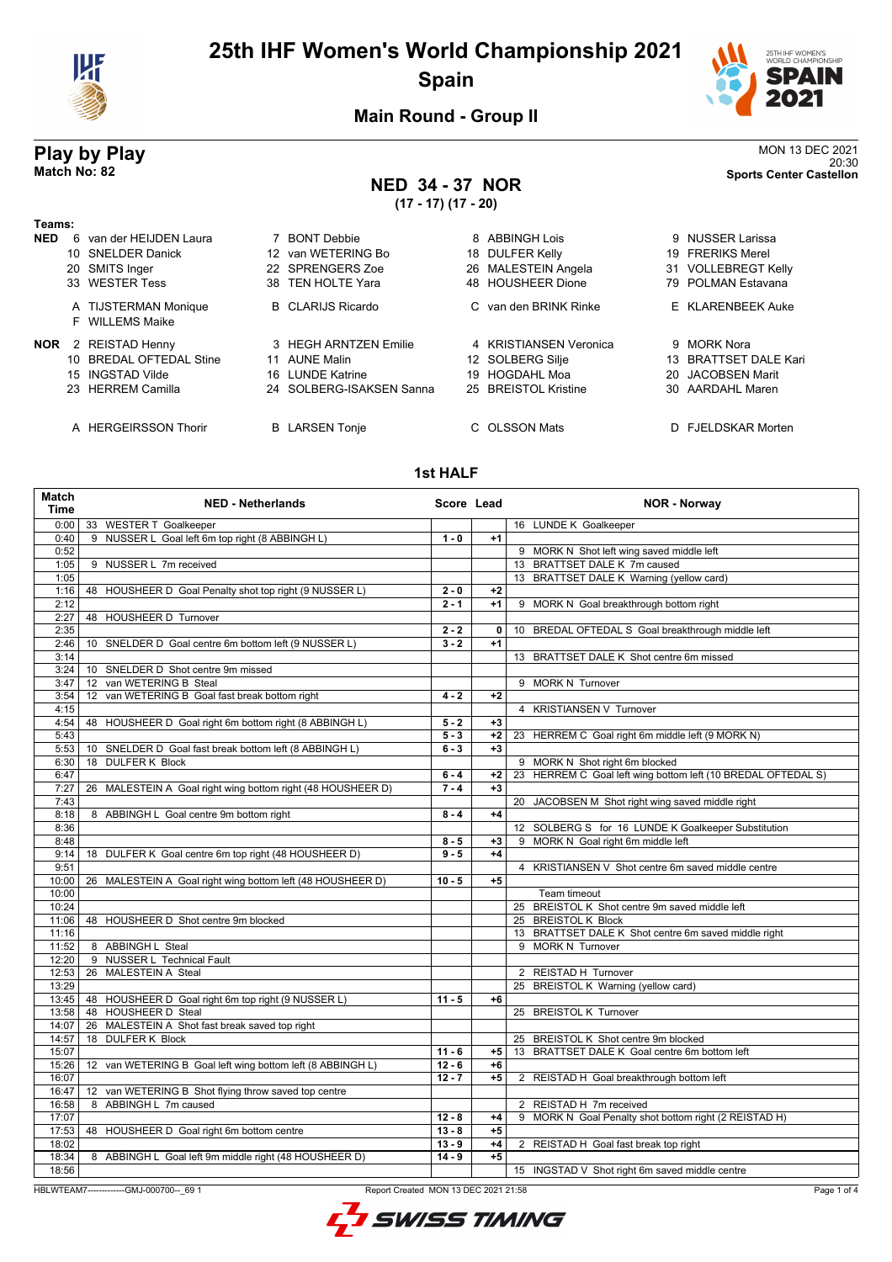



20:30 **Match No: 82 Sports Center Castellon**

**Main Round - Group II**

# **Play by Play**<br>MON 13 DEC 2021<br>Sports Center Castellon<br>Sports Center Castellon

## **NED 34 - 37 NOR**

**(17 - 17) (17 - 20)**

| Teams:     |                                         |                          |                           |                               |
|------------|-----------------------------------------|--------------------------|---------------------------|-------------------------------|
| <b>NED</b> | van der HEIJDEN Laura<br>6.             | 7 BONT Debbie            | 8 ABBINGH Lois            | 9 NUSSER Larissa              |
|            | 10 SNELDER Danick                       | 12 van WETERING Bo       | <b>DULFER Kelly</b><br>18 | 19 FRERIKS Merel              |
|            | 20 SMITS Inger                          | 22 SPRENGERS Zoe         | 26 MALESTEIN Angela       | 31 VOLLEBREGT Kelly           |
|            | 33 WESTER Tess                          | 38 TEN HOLTE Yara        | 48 HOUSHEER Dione         | 79 POLMAN Estavana            |
|            | A TIJSTERMAN Monique<br>F WILLEMS Maike | <b>B</b> CLARIJS Ricardo | C van den BRINK Rinke     | E KLARENBEEK Auke             |
| <b>NOR</b> | 2 REISTAD Henny                         | 3 HEGH ARNTZEN Emilie    | 4 KRISTIANSEN Veronica    | 9 MORK Nora                   |
|            | 10 BREDAL OFTEDAL Stine                 | 11 AUNE Malin            | 12 SOLBERG Silje          | 13 BRATTSET DALE Kari         |
|            | 15 INGSTAD Vilde                        | 16 LUNDE Katrine         | HOGDAHL Moa<br>19         | 20 JACOBSEN Marit             |
|            | 23 HERREM Camilla                       | 24 SOLBERG-ISAKSEN Sanna | 25 BREISTOL Kristine      | 30 AARDAHL Maren              |
|            | A HERGEIRSSON Thorir                    | <b>B</b> LARSEN Tonje    | C OLSSON Mats             | <b>FJELDSKAR Morten</b><br>D. |

#### **1st HALF**

| Match<br><b>Time</b>                                                                            | <b>NED - Netherlands</b>                                    | Score Lead |      | <b>NOR - Norway</b>                                          |
|-------------------------------------------------------------------------------------------------|-------------------------------------------------------------|------------|------|--------------------------------------------------------------|
| 0:00                                                                                            | 33 WESTER T Goalkeeper                                      |            |      | 16 LUNDE K Goalkeeper                                        |
| 0:40                                                                                            | 9 NUSSER L Goal left 6m top right (8 ABBINGH L)             | $1 - 0$    | $+1$ |                                                              |
| 0:52                                                                                            |                                                             |            |      | 9 MORK N Shot left wing saved middle left                    |
| 1:05                                                                                            | 9 NUSSER L 7m received                                      |            |      | 13 BRATTSET DALE K 7m caused                                 |
| 1:05                                                                                            |                                                             |            |      | 13 BRATTSET DALE K Warning (yellow card)                     |
| 1:16                                                                                            | 48 HOUSHEER D Goal Penalty shot top right (9 NUSSER L)      | $2 - 0$    | $+2$ |                                                              |
| 2:12                                                                                            |                                                             | $2 - 1$    | $+1$ | 9 MORK N Goal breakthrough bottom right                      |
| 2:27                                                                                            | 48 HOUSHEER D Turnover                                      |            |      |                                                              |
| 2:35                                                                                            |                                                             | $2 - 2$    | 0    | 10 BREDAL OFTEDAL S Goal breakthrough middle left            |
| 2:46                                                                                            | 10 SNELDER D Goal centre 6m bottom left (9 NUSSER L)        | $3 - 2$    | $+1$ |                                                              |
| 3:14                                                                                            |                                                             |            |      | 13 BRATTSET DALE K Shot centre 6m missed                     |
| 3:24                                                                                            | 10 SNELDER D Shot centre 9m missed                          |            |      |                                                              |
| 3:47                                                                                            | van WETERING B Steal<br>12 <sup>2</sup>                     |            |      | 9 MORK N Turnover                                            |
| 3:54                                                                                            | van WETERING B Goal fast break bottom right<br>12           | $4 - 2$    | $+2$ |                                                              |
| 4:15                                                                                            |                                                             |            |      | 4 KRISTIANSEN V Turnover                                     |
| 4:54                                                                                            | 48 HOUSHEER D Goal right 6m bottom right (8 ABBINGH L)      | $5 - 2$    | $+3$ |                                                              |
| 5:43                                                                                            |                                                             | $5 - 3$    | $+2$ | 23 HERREM C Goal right 6m middle left (9 MORK N)             |
| 5:53                                                                                            | 10 SNELDER D Goal fast break bottom left (8 ABBINGH L)      | $6 - 3$    | $+3$ |                                                              |
| 6:30                                                                                            | 18 DULFER K Block                                           |            |      | 9 MORK N Shot right 6m blocked                               |
| 6:47                                                                                            |                                                             | $6 - 4$    | +2   | 23 HERREM C Goal left wing bottom left (10 BREDAL OFTEDAL S) |
| 7:27                                                                                            | 26 MALESTEIN A Goal right wing bottom right (48 HOUSHEER D) | $7 - 4$    | $+3$ |                                                              |
| 7:43                                                                                            |                                                             |            |      | 20 JACOBSEN M Shot right wing saved middle right             |
| 8:18                                                                                            | 8 ABBINGH L Goal centre 9m bottom right                     | $8 - 4$    | $+4$ |                                                              |
| 8:36                                                                                            |                                                             |            |      | 12 SOLBERG S for 16 LUNDE K Goalkeeper Substitution          |
| 8:48                                                                                            |                                                             | $8 - 5$    | $+3$ | 9 MORK N Goal right 6m middle left                           |
| 9:14                                                                                            | 18 DULFER K Goal centre 6m top right (48 HOUSHEER D)        | $9 - 5$    | $+4$ |                                                              |
| 9:51                                                                                            |                                                             |            |      | 4 KRISTIANSEN V Shot centre 6m saved middle centre           |
| 10:00                                                                                           | 26 MALESTEIN A Goal right wing bottom left (48 HOUSHEER D)  | $10 - 5$   | $+5$ |                                                              |
| 10:00                                                                                           |                                                             |            |      | Team timeout                                                 |
| 10:24                                                                                           |                                                             |            |      | 25 BREISTOL K Shot centre 9m saved middle left               |
| 11:06                                                                                           | 48 HOUSHEER D Shot centre 9m blocked                        |            |      | 25 BREISTOL K Block                                          |
| 11:16                                                                                           |                                                             |            |      | 13 BRATTSET DALE K Shot centre 6m saved middle right         |
| 11:52                                                                                           | 8 ABBINGH L Steal                                           |            |      | 9 MORK N Turnover                                            |
| 12:20                                                                                           | 9 NUSSER L Technical Fault                                  |            |      |                                                              |
| 12:53                                                                                           | 26 MALESTEIN A Steal                                        |            |      | 2 REISTAD H Turnover                                         |
| 13:29                                                                                           |                                                             |            |      | 25 BREISTOL K Warning (yellow card)                          |
|                                                                                                 | 13:45   48 HOUSHEER D Goal right 6m top right (9 NUSSER L)  | $11 - 5$   | +6   |                                                              |
| 13:58                                                                                           | 48 HOUSHEER D Steal                                         |            |      | 25 BREISTOL K Turnover                                       |
| 14:07                                                                                           | 26 MALESTEIN A Shot fast break saved top right              |            |      |                                                              |
| 14:57                                                                                           | 18 DULFER K Block                                           |            |      | 25 BREISTOL K Shot centre 9m blocked                         |
| 15:07                                                                                           |                                                             | $11 - 6$   | $+5$ | 13 BRATTSET DALE K Goal centre 6m bottom left                |
| 15:26                                                                                           | 12 van WETERING B Goal left wing bottom left (8 ABBINGH L)  | $12 - 6$   | +6   |                                                              |
| 16:07                                                                                           |                                                             | $12 - 7$   | $+5$ | 2 REISTAD H Goal breakthrough bottom left                    |
| 16:47                                                                                           | 12 van WETERING B Shot flying throw saved top centre        |            |      |                                                              |
| 16:58                                                                                           | 8 ABBINGH L 7m caused                                       |            |      | 2 REISTAD H 7m received                                      |
| 17:07                                                                                           |                                                             | $12 - 8$   | $+4$ | 9 MORK N Goal Penalty shot bottom right (2 REISTAD H)        |
| 17:53                                                                                           | 48 HOUSHEER D Goal right 6m bottom centre                   | $13 - 8$   | $+5$ |                                                              |
| 18:02                                                                                           |                                                             | $13 - 9$   | $+4$ | 2 REISTAD H Goal fast break top right                        |
| 18:34                                                                                           | 8 ABBINGH L Goal left 9m middle right (48 HOUSHEER D)       | $14 - 9$   | $+5$ |                                                              |
| 18:56                                                                                           |                                                             |            |      | 15 INGSTAD V Shot right 6m saved middle centre               |
|                                                                                                 |                                                             |            |      |                                                              |
| HBLWTEAM7--------------GMJ-000700-- 69 1<br>Report Created MON 13 DEC 2021 21:58<br>Page 1 of 4 |                                                             |            |      |                                                              |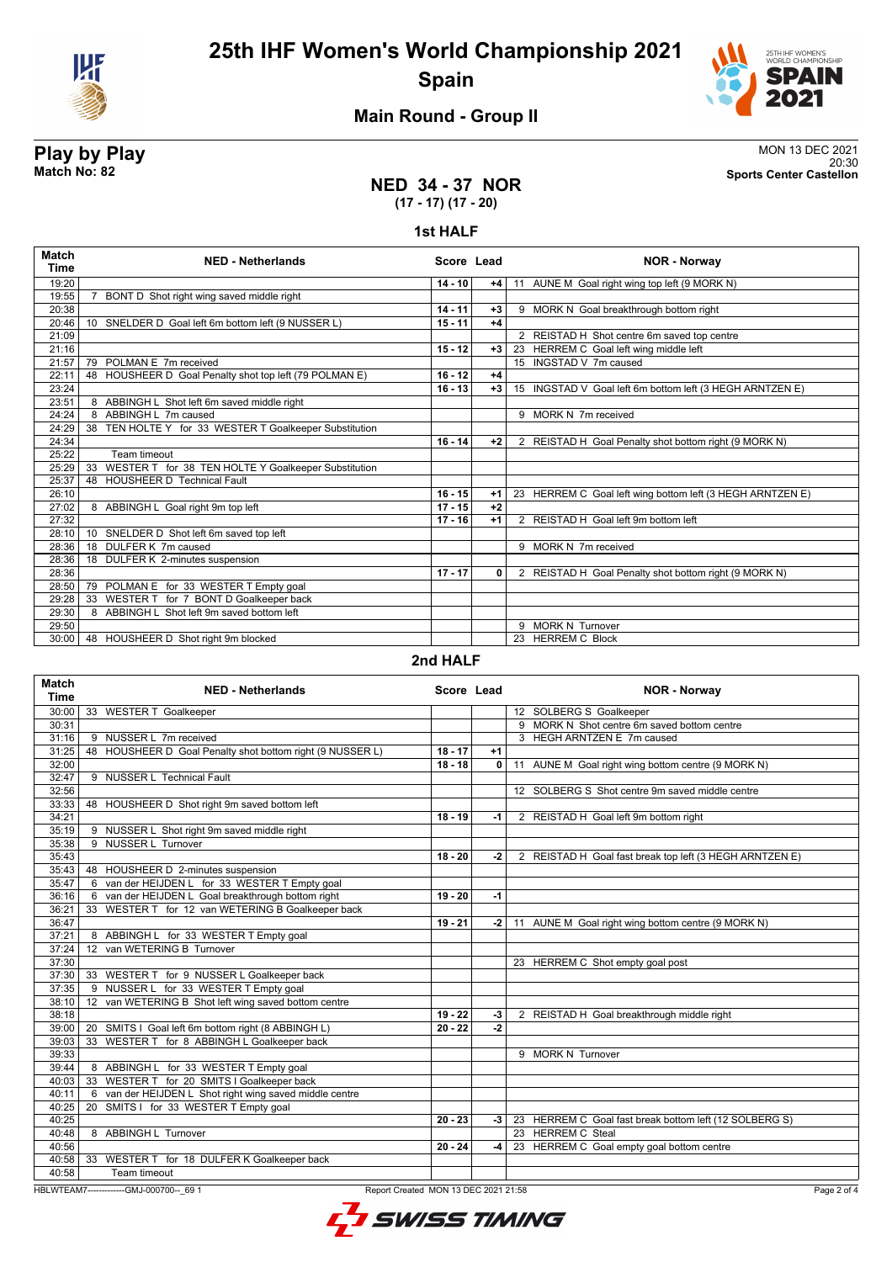



20:30 **Match No: 82 Sports Center Castellon**

### **Main Round - Group II**

## **Play by Play**<br>MON 13 DEC 2021<br>Sports Center Castellon<br>Sports Center Castellon

#### **NED 34 - 37 NOR (17 - 17) (17 - 20)**

#### **1st HALF**

| <b>Match</b><br><b>Time</b> | <b>NED - Netherlands</b>                                           | Score Lead |      | <b>NOR - Norway</b>                                       |
|-----------------------------|--------------------------------------------------------------------|------------|------|-----------------------------------------------------------|
| 19:20                       |                                                                    | $14 - 10$  | $+4$ | 11 AUNE M Goal right wing top left (9 MORK N)             |
| 19:55                       | BONT D Shot right wing saved middle right                          |            |      |                                                           |
| 20:38                       |                                                                    | $14 - 11$  | $+3$ | 9 MORK N Goal breakthrough bottom right                   |
| 20:46                       | SNELDER D Goal left 6m bottom left (9 NUSSER L)<br>10 <sup>1</sup> | $15 - 11$  | $+4$ |                                                           |
| 21:09                       |                                                                    |            |      | 2 REISTAD H Shot centre 6m saved top centre               |
| 21:16                       |                                                                    | $15 - 12$  | $+3$ | 23 HERREM C Goal left wing middle left                    |
| 21:57                       | POLMAN E 7m received<br>79                                         |            |      | 15 INGSTAD V 7m caused                                    |
| 22:11                       | HOUSHEER D Goal Penalty shot top left (79 POLMAN E)<br>48          | $16 - 12$  | $+4$ |                                                           |
| 23:24                       |                                                                    | $16 - 13$  | $+3$ | 15 INGSTAD V Goal left 6m bottom left (3 HEGH ARNTZEN E)  |
| 23:51                       | 8 ABBINGH L Shot left 6m saved middle right                        |            |      |                                                           |
| 24:24                       | 8 ABBINGH L 7m caused                                              |            |      | 9 MORK N 7m received                                      |
| 24:29                       | TEN HOLTE Y for 33 WESTER T Goalkeeper Substitution<br>38          |            |      |                                                           |
| 24:34                       |                                                                    | $16 - 14$  | $+2$ | 2 REISTAD H Goal Penalty shot bottom right (9 MORK N)     |
| 25:22                       | Team timeout                                                       |            |      |                                                           |
| 25:29                       | WESTER T for 38 TEN HOLTE Y Goalkeeper Substitution<br>33          |            |      |                                                           |
| 25:37                       | <b>HOUSHEER D Technical Fault</b><br>48                            |            |      |                                                           |
| 26:10                       |                                                                    | $16 - 15$  | $+1$ | 23 HERREM C Goal left wing bottom left (3 HEGH ARNTZEN E) |
| 27:02                       | 8 ABBINGH L Goal right 9m top left                                 | $17 - 15$  | $+2$ |                                                           |
| 27:32                       |                                                                    | $17 - 16$  | $+1$ | 2 REISTAD H Goal left 9m bottom left                      |
| 28:10                       | SNELDER D Shot left 6m saved top left<br>10 <sup>1</sup>           |            |      |                                                           |
| 28:36                       | DULFER K 7m caused<br>18                                           |            |      | 9 MORK N 7m received                                      |
| 28:36                       | DULFER K 2-minutes suspension<br>18                                |            |      |                                                           |
| 28:36                       |                                                                    | $17 - 17$  | 0    | 2 REISTAD H Goal Penalty shot bottom right (9 MORK N)     |
| 28:50                       | POLMAN E for 33 WESTER T Empty goal<br>79                          |            |      |                                                           |
| 29:28                       | 33 WESTER T for 7 BONT D Goalkeeper back                           |            |      |                                                           |
| 29:30                       | 8 ABBINGH L Shot left 9m saved bottom left                         |            |      |                                                           |
| 29:50                       |                                                                    |            |      | <b>MORK N Turnover</b><br>9                               |
| 30:00                       | 48 HOUSHEER D Shot right 9m blocked                                |            |      | 23 HERREM C Block                                         |

#### **2nd HALF**

| <b>Match</b><br><b>Time</b> | <b>NED - Netherlands</b>                                  | Score Lead                           |      | <b>NOR - Norway</b>                                     |
|-----------------------------|-----------------------------------------------------------|--------------------------------------|------|---------------------------------------------------------|
| 30:00                       | 33 WESTER T Goalkeeper                                    |                                      |      | 12 SOLBERG S Goalkeeper                                 |
| 30:31                       |                                                           |                                      |      | 9 MORK N Shot centre 6m saved bottom centre             |
| 31:16                       | 9 NUSSER L 7m received                                    |                                      |      | 3 HEGH ARNTZEN E 7m caused                              |
| 31:25                       | 48 HOUSHEER D Goal Penalty shot bottom right (9 NUSSER L) | $18 - 17$                            | $+1$ |                                                         |
| 32:00                       |                                                           | $18 - 18$                            | 0    | 11 AUNE M Goal right wing bottom centre (9 MORK N)      |
| 32:47                       | 9 NUSSER L Technical Fault                                |                                      |      |                                                         |
| 32:56                       |                                                           |                                      |      | 12 SOLBERG S Shot centre 9m saved middle centre         |
| 33:33                       | 48 HOUSHEER D Shot right 9m saved bottom left             |                                      |      |                                                         |
| 34:21                       |                                                           | $18 - 19$                            | -1   | 2 REISTAD H Goal left 9m bottom right                   |
| 35:19                       | 9 NUSSER L Shot right 9m saved middle right               |                                      |      |                                                         |
| 35:38                       | 9 NUSSER L Turnover                                       |                                      |      |                                                         |
| 35:43                       |                                                           | $18 - 20$                            | $-2$ | 2 REISTAD H Goal fast break top left (3 HEGH ARNTZEN E) |
| 35:43                       | 48 HOUSHEER D 2-minutes suspension                        |                                      |      |                                                         |
| 35:47                       | 6 van der HEIJDEN L for 33 WESTER T Empty goal            |                                      |      |                                                         |
| 36:16                       | 6 van der HEIJDEN L Goal breakthrough bottom right        | $19 - 20$                            | $-1$ |                                                         |
| 36:21                       | 33 WESTER T for 12 van WETERING B Goalkeeper back         |                                      |      |                                                         |
| 36:47                       |                                                           | $19 - 21$                            | $-2$ | 11 AUNE M Goal right wing bottom centre (9 MORK N)      |
| 37:21                       | 8 ABBINGH L for 33 WESTER T Empty goal                    |                                      |      |                                                         |
| 37:24                       | 12 van WETERING B Turnover                                |                                      |      |                                                         |
| 37:30                       |                                                           |                                      |      | 23 HERREM C Shot empty goal post                        |
|                             | 37:30   33 WESTER T for 9 NUSSER L Goalkeeper back        |                                      |      |                                                         |
| 37:35                       | 9 NUSSER L for 33 WESTER T Empty goal                     |                                      |      |                                                         |
| 38:10                       | 12 van WETERING B Shot left wing saved bottom centre      |                                      |      |                                                         |
| 38:18                       |                                                           | $19 - 22$                            | $-3$ | 2 REISTAD H Goal breakthrough middle right              |
| 39:00                       | 20 SMITS I Goal left 6m bottom right (8 ABBINGH L)        | $20 - 22$                            | $-2$ |                                                         |
| 39:03                       | 33 WESTER T for 8 ABBINGH L Goalkeeper back               |                                      |      |                                                         |
| 39:33                       |                                                           |                                      |      | 9 MORK N Turnover                                       |
| 39:44                       | 8 ABBINGH L for 33 WESTER T Empty goal                    |                                      |      |                                                         |
| 40:03                       | 33 WESTER T for 20 SMITS I Goalkeeper back                |                                      |      |                                                         |
| 40:11                       | 6 van der HEIJDEN L Shot right wing saved middle centre   |                                      |      |                                                         |
| 40:25                       | SMITS I for 33 WESTER T Empty goal<br>20                  |                                      |      |                                                         |
| 40:25                       |                                                           | $20 - 23$                            | $-3$ | 23 HERREM C Goal fast break bottom left (12 SOLBERG S)  |
| 40:48                       | 8 ABBINGH L Turnover                                      |                                      |      | 23 HERREM C Steal                                       |
| 40:56                       |                                                           | $20 - 24$                            | $-4$ | 23 HERREM C Goal empty goal bottom centre               |
| 40:58                       | 33 WESTER T for 18 DULFER K Goalkeeper back               |                                      |      |                                                         |
| 40:58                       | Team timeout                                              |                                      |      |                                                         |
|                             | HBLWTEAM7--------------GMJ-000700-- 69 1                  | Report Created MON 13 DEC 2021 21:58 |      | Page 2 of                                               |

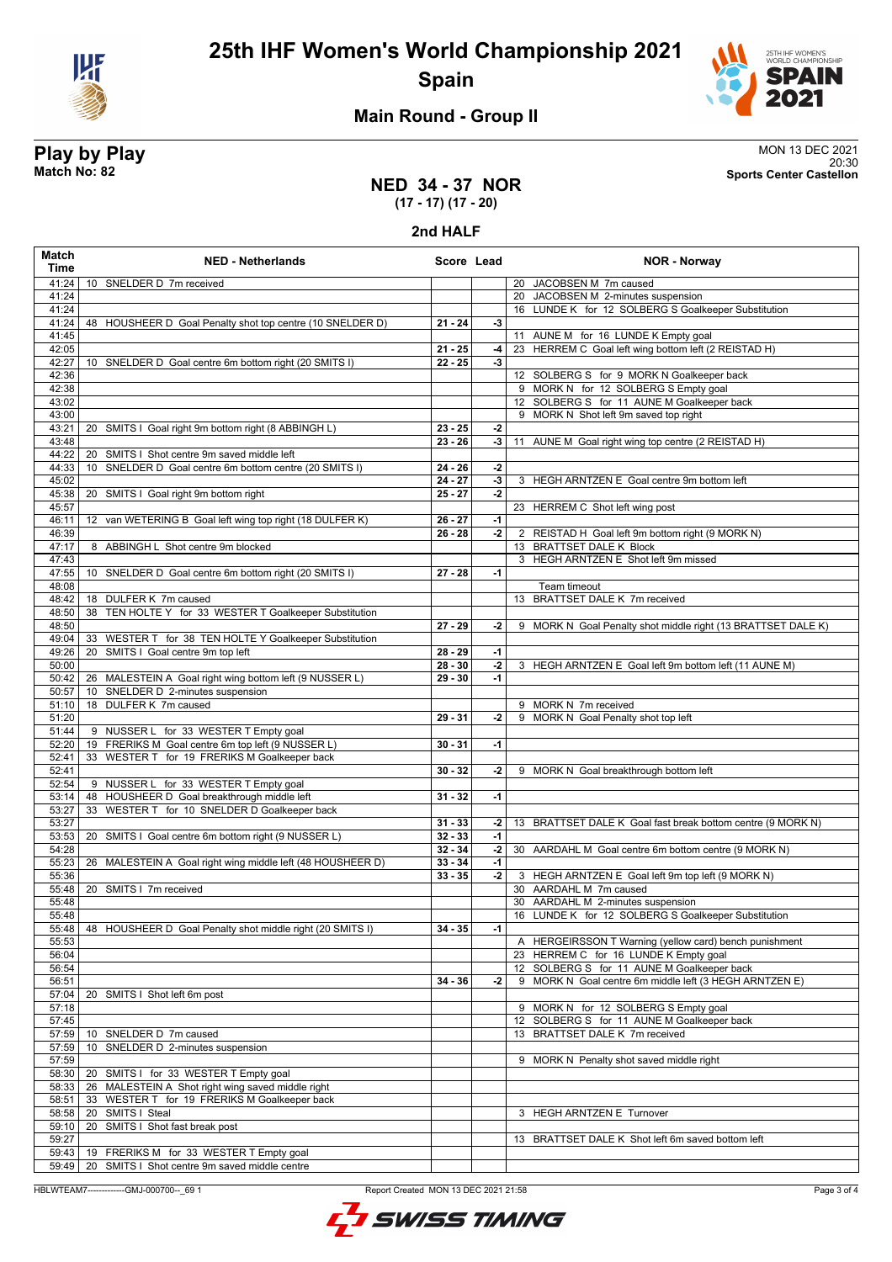



### **Main Round - Group II**

**NED 34 - 37 NOR**

**Play by Play**<br>MON 13 DEC 2021<br>Sports Center Castellon<br>Sports Center Castellon 20:30 **Match No: 82 Sports Center Castellon**

## **(17 - 17) (17 - 20)**

**2nd HALF**

| Match<br>Time  | <b>NED - Netherlands</b>                                                                    | Score Lead             |                | <b>NOR - Norway</b>                                                                 |
|----------------|---------------------------------------------------------------------------------------------|------------------------|----------------|-------------------------------------------------------------------------------------|
| 41:24          | 10 SNELDER D 7m received                                                                    |                        |                | 20 JACOBSEN M 7m caused                                                             |
| 41:24          |                                                                                             |                        |                | 20 JACOBSEN M 2-minutes suspension                                                  |
| 41:24          |                                                                                             |                        |                | 16 LUNDE K for 12 SOLBERG S Goalkeeper Substitution                                 |
| 41:24          | 48 HOUSHEER D Goal Penalty shot top centre (10 SNELDER D)                                   | $21 - 24$              | $-3$           |                                                                                     |
| 41:45          |                                                                                             |                        |                | 11 AUNE M for 16 LUNDE K Empty goal                                                 |
| 42:05<br>42:27 | 10 SNELDER D Goal centre 6m bottom right (20 SMITS I)                                       | $21 - 25$<br>$22 - 25$ | -4<br>$-3$     | 23 HERREM C Goal left wing bottom left (2 REISTAD H)                                |
| 42:36          |                                                                                             |                        |                | 12 SOLBERG S for 9 MORK N Goalkeeper back                                           |
| 42:38          |                                                                                             |                        |                | 9 MORK N for 12 SOLBERG S Empty goal                                                |
| 43:02          |                                                                                             |                        |                | 12 SOLBERG S for 11 AUNE M Goalkeeper back                                          |
| 43:00          |                                                                                             |                        |                | 9 MORK N Shot left 9m saved top right                                               |
| 43:21          | 20 SMITS I Goal right 9m bottom right (8 ABBINGH L)                                         | $23 - 25$              | $-2$           |                                                                                     |
| 43:48          |                                                                                             | $23 - 26$              | $-3$           | 11 AUNE M Goal right wing top centre (2 REISTAD H)                                  |
| 44:22          | SMITS I Shot centre 9m saved middle left<br>20                                              |                        |                |                                                                                     |
| 44:33          | SNELDER D Goal centre 6m bottom centre (20 SMITS I)<br>10                                   | $24 - 26$              | $-2$           |                                                                                     |
| 45:02          |                                                                                             | $24 - 27$              | $\overline{3}$ | 3 HEGH ARNTZEN E Goal centre 9m bottom left                                         |
| 45:38          | SMITS I Goal right 9m bottom right<br>20                                                    | $25 - 27$              | $-2$           |                                                                                     |
| 45:57<br>46:11 | 12 van WETERING B Goal left wing top right (18 DULFER K)                                    | 26 - 27                | $-1$           | 23 HERREM C Shot left wing post                                                     |
| 46:39          |                                                                                             | $26 - 28$              | $-2$           | 2 REISTAD H Goal left 9m bottom right (9 MORK N)                                    |
| 47:17          | 8 ABBINGH L Shot centre 9m blocked                                                          |                        |                | 13 BRATTSET DALE K Block                                                            |
| 47:43          |                                                                                             |                        |                | 3 HEGH ARNTZEN E Shot left 9m missed                                                |
| 47:55          | 10 SNELDER D Goal centre 6m bottom right (20 SMITS I)                                       | 27 - 28                | $-1$           |                                                                                     |
| 48:08          |                                                                                             |                        |                | Team timeout                                                                        |
| 48:42          | 18 DULFER K 7m caused                                                                       |                        |                | 13 BRATTSET DALE K 7m received                                                      |
| 48:50          | 38 TEN HOLTE Y for 33 WESTER T Goalkeeper Substitution                                      |                        |                |                                                                                     |
| 48:50          |                                                                                             | $27 - 29$              | $-2$           | 9 MORK N Goal Penalty shot middle right (13 BRATTSET DALE K)                        |
| 49:04          | 33 WESTER T for 38 TEN HOLTE Y Goalkeeper Substitution                                      |                        |                |                                                                                     |
| 49:26          | SMITS I Goal centre 9m top left<br>20                                                       | 28 - 29                | $-1$           |                                                                                     |
| 50:00<br>50:42 | 26 MALESTEIN A Goal right wing bottom left (9 NUSSER L)                                     | $28 - 30$<br>29 - 30   | $-2$<br>$-1$   | 3 HEGH ARNTZEN E Goal left 9m bottom left (11 AUNE M)                               |
| 50:57          | 10 SNELDER D 2-minutes suspension                                                           |                        |                |                                                                                     |
| 51:10          | 18 DULFER K 7m caused                                                                       |                        |                | 9 MORK N 7m received                                                                |
| 51:20          |                                                                                             | 29 - 31                | -2             | 9 MORK N Goal Penalty shot top left                                                 |
| 51:44          | 9 NUSSER L for 33 WESTER T Empty goal                                                       |                        |                |                                                                                     |
| 52:20          | 19 FRERIKS M Goal centre 6m top left (9 NUSSER L)                                           | $30 - 31$              | $-1$           |                                                                                     |
| 52:41          | 33 WESTER T for 19 FRERIKS M Goalkeeper back                                                |                        |                |                                                                                     |
| 52:41          |                                                                                             | $30 - 32$              | -2             | 9 MORK N Goal breakthrough bottom left                                              |
| 52:54          | 9 NUSSER L for 33 WESTER T Empty goal                                                       |                        |                |                                                                                     |
| 53:14<br>53:27 | 48 HOUSHEER D Goal breakthrough middle left<br>33 WESTER T for 10 SNELDER D Goalkeeper back | $31 - 32$              | $-1$           |                                                                                     |
| 53:27          |                                                                                             | $31 - 33$              | -2             | 13 BRATTSET DALE K Goal fast break bottom centre (9 MORK N)                         |
| 53:53          | 20 SMITS I Goal centre 6m bottom right (9 NUSSER L)                                         | $32 - 33$              | $-1$           |                                                                                     |
| 54:28          |                                                                                             | $32 - 34$              | $-2$           | 30 AARDAHL M Goal centre 6m bottom centre (9 MORK N)                                |
| 55:23          | 26 MALESTEIN A Goal right wing middle left (48 HOUSHEER D)                                  | $33 - 34$              | $-1$           |                                                                                     |
| 55:36          |                                                                                             | $33 - 35$              | $-2$           | 3 HEGH ARNTZEN E Goal left 9m top left (9 MORK N)                                   |
| 55:48          | 20 SMITS I 7m received                                                                      |                        |                | 30 AARDAHL M 7m caused                                                              |
| 55:48          |                                                                                             |                        |                | 30 AARDAHL M 2-minutes suspension                                                   |
| 55:48          |                                                                                             |                        |                | 16 LUNDE K for 12 SOLBERG S Goalkeeper Substitution                                 |
| 55:48          | 48 HOUSHEER D Goal Penalty shot middle right (20 SMITS I)                                   | $34 - 35$              | $-1$           |                                                                                     |
| 55:53          |                                                                                             |                        |                | A HERGEIRSSON T Warning (yellow card) bench punishment                              |
| 56:04<br>56:54 |                                                                                             |                        |                | 23 HERREM C for 16 LUNDE K Empty goal<br>12 SOLBERG S for 11 AUNE M Goalkeeper back |
| 56:51          |                                                                                             | 34 - 36                | -2             | MORK N Goal centre 6m middle left (3 HEGH ARNTZEN E)<br>9                           |
| 57:04          | 20 SMITS I Shot left 6m post                                                                |                        |                |                                                                                     |
| 57:18          |                                                                                             |                        |                | 9 MORK N for 12 SOLBERG S Empty goal                                                |
| 57:45          |                                                                                             |                        |                | 12 SOLBERG S for 11 AUNE M Goalkeeper back                                          |
| 57:59          | 10 SNELDER D 7m caused                                                                      |                        |                | 13 BRATTSET DALE K 7m received                                                      |
| 57:59          | SNELDER D 2-minutes suspension<br>10                                                        |                        |                |                                                                                     |
| 57:59          |                                                                                             |                        |                | 9 MORK N Penalty shot saved middle right                                            |
| 58:30          | SMITS I for 33 WESTER T Empty goal<br>20                                                    |                        |                |                                                                                     |
| 58:33          | 26 MALESTEIN A Shot right wing saved middle right                                           |                        |                |                                                                                     |
| 58:51          | 33 WESTER T for 19 FRERIKS M Goalkeeper back                                                |                        |                |                                                                                     |
| 58:58          | 20 SMITS I Steal                                                                            |                        |                | 3 HEGH ARNTZEN E Turnover                                                           |
| 59:10<br>59:27 | 20 SMITS I Shot fast break post                                                             |                        |                | 13 BRATTSET DALE K Shot left 6m saved bottom left                                   |
| 59:43          | 19 FRERIKS M for 33 WESTER T Empty goal                                                     |                        |                |                                                                                     |
| 59:49          | 20 SMITS I Shot centre 9m saved middle centre                                               |                        |                |                                                                                     |